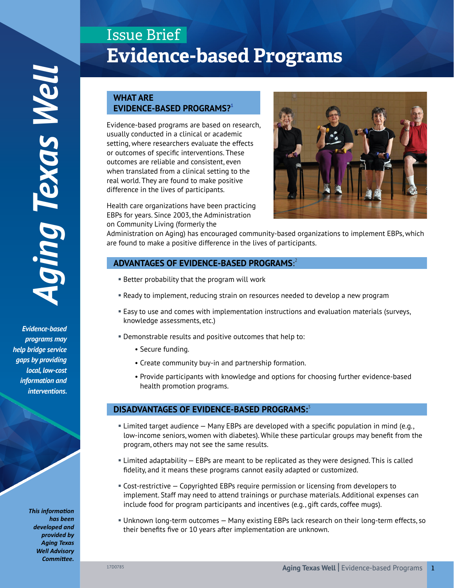*Evidence-based programs may help bridge service gaps by providing local, low-cost information and*  interventions.

> *This information has been developed and provided by Aging Texas Well Advisory Committee.*

# Issue Brief **Evidence-based Programs**

# **WHAT ARE EVIDENCE-BASED PROGRAMS?<sup>1</sup>**

Evidence-based programs are based on research, usually conducted in a clinical or academic setting, where researchers evaluate the effects or outcomes of specific interventions. These outcomes are reliable and consistent, even when translated from a clinical setting to the real world. They are found to make positive difference in the lives of participants.

Health care organizations have been practicing EBPs for years. Since 2003, the Administration on Community Living (formerly the



Administration on Aging) has encouraged community-based organizations to implement EBPs, which are found to make a positive difference in the lives of participants.

# **ADVANTAGES OF EVIDENCE-BASED PROGRAMS:** 2

- Better probability that the program will work
- § Ready to implement, reducing strain on resources needed to develop a new program
- § Easy to use and comes with implementation instructions and evaluation materials (surveys, knowledge assessments, etc.)
- § Demonstrable results and positive outcomes that help to:
	- Secure funding.
	- Create community buy-in and partnership formation.
	- Provide participants with knowledge and options for choosing further evidence-based health promotion programs.

# **DISADVANTAGES OF EVIDENCE-BASED PROGRAMS:**<sup>3</sup>

- § Limited target audience Many EBPs are developed with a specific population in mind (e.g., low-income seniors, women with diabetes). While these particular groups may benefit from the program, others may not see the same results.
- § Limited adaptability EBPs are meant to be replicated as they were designed. This is called fidelity, and it means these programs cannot easily adapted or customized.
- § Cost-restrictive Copyrighted EBPs require permission or licensing from developers to implement. Staff may need to attend trainings or purchase materials. Additional expenses can include food for program participants and incentives (e.g., gift cards, coffee mugs).
- § Unknown long-term outcomes Many existing EBPs lack research on their long-term effects, so their benefits five or 10 years after implementation are unknown.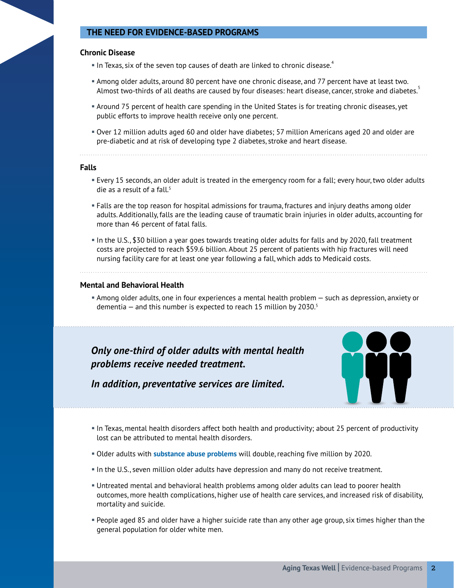# **THE NEED FOR EVIDENCE-BASED PROGRAMS**

### **Chronic Disease**

- $\blacksquare$  In Texas, six of the seven top causes of death are linked to chronic disease.<sup>4</sup>
- § Among older adults, around 80 percent have one chronic disease, and 77 percent have at least two. Almost two-thirds of all deaths are caused by four diseases: heart disease, cancer, stroke and diabetes.<sup>5</sup>
- § Around 75 percent of health care spending in the United States is for treating chronic diseases, yet public efforts to improve health receive only one percent.
- § Over 12 million adults aged 60 and older have diabetes; 57 million Americans aged 20 and older are pre-diabetic and at risk of developing type 2 diabetes, stroke and heart disease.

**Falls**

- § Every 15 seconds, an older adult is treated in the emergency room for a fall; every hour, two older adults die as a result of a fall. $5$
- § Falls are the top reason for hospital admissions for trauma, fractures and injury deaths among older adults. Additionally, falls are the leading cause of traumatic brain injuries in older adults, accounting for more than 46 percent of fatal falls.
- § In the U.S., \$30 billion a year goes towards treating older adults for falls and by 2020, fall treatment costs are projected to reach \$59.6 billion. About 25 percent of patients with hip fractures will need nursing facility care for at least one year following a fall, which adds to Medicaid costs.

#### **Mental and Behavioral Health**

§ Among older adults, one in four experiences a mental health problem — such as depression, anxiety or dementia  $-$  and this number is expected to reach 15 million by 2030.<sup>5</sup>

*Only one-third of older adults with mental health problems receive needed treatment.*



*In addition, preventative services are limited.*

- § In Texas, mental health disorders affect both health and productivity; about 25 percent of productivity lost can be attributed to mental health disorders.
- § Older adults with **[substance abuse problems](https://www.ncoa.org/resources/webinar-substance-abuse-and-misuse-impact-on-older-adults/)** will double, reaching five million by 2020.
- § In the U.S., seven million older adults have depression and many do not receive treatment.
- § Untreated mental and behavioral health problems among older adults can lead to poorer health outcomes, more health complications, higher use of health care services, and increased risk of disability, mortality and suicide.
- § People aged 85 and older have a higher suicide rate than any other age group, six times higher than the general population for older white men.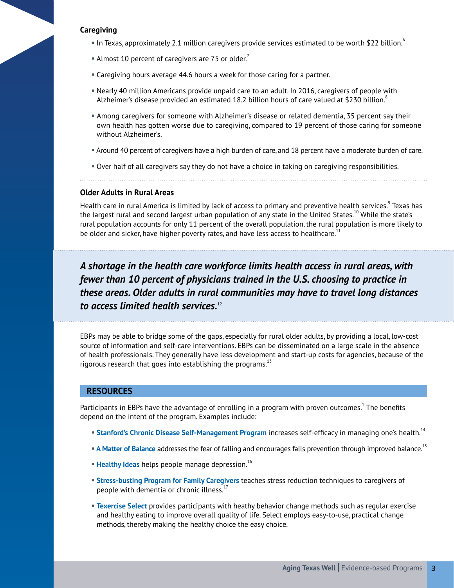## **Caregiving**

- § In Texas, approximately 2.1 million caregivers provide services estimated to be worth \$22 billion.6
- Almost 10 percent of caregivers are 75 or older. $\dot{'}$
- Caregiving hours average 44.6 hours a week for those caring for a partner.
- § Nearly 40 million Americans provide unpaid care to an adult. In 2016, caregivers of people with Alzheimer's disease provided an estimated 18.2 billion hours of care valued at \$230 billion.<sup>8</sup>
- § Among caregivers for someone with Alzheimer's disease or related dementia, 35 percent say their own health has gotten worse due to caregiving, compared to 19 percent of those caring for someone without Alzheimer's.
- § Around 40 percent of caregivers have a high burden of care, and 18 percent have a moderate burden of care.
- § Over half of all caregivers say they do not have a choice in taking on caregiving responsibilities.

#### **Older Adults in Rural Areas**

Health care in rural America is limited by lack of access to primary and preventive health services.<sup>9</sup> Texas has the largest rural and second largest urban population of any state in the United States.<sup>10</sup> While the state's rural population accounts for only 11 percent of the overall population, the rural population is more likely to be older and sicker, have higher poverty rates, and have less access to healthcare. $11$ 

*A shortage in the health care workforce limits health access in rural areas, with fewer than 10 percent of physicians trained in the U.S. choosing to practice in these areas. Older adults in rural communities may have to travel long distances to access limited health services.*<sup>12</sup>

EBPs may be able to bridge some of the gaps, especially for rural older adults, by providing a local, low-cost source of information and self-care interventions. EBPs can be disseminated on a large scale in the absence of health professionals. They generally have less development and start-up costs for agencies, because of the rigorous research that goes into establishing the programs. $^{13}$ 

## **RESOURCES**

Participants in EBPs have the advantage of enrolling in a program with proven outcomes. $^1$  The benefits depend on the intent of the program. Examples include:

- **[Stanford's Chronic Disease Self-Management Program](http://patienteducation.stanford.edu/programs/cdsmp.html)** increases self-efficacy in managing one's health.<sup>14</sup>
- **[A Matter of Balance](https://www.ncoa.org/resources/program-summary-a-matter-of-balance/)** addresses the fear of falling and encourages falls prevention through improved balance.<sup>15</sup>
- **Example 1 [Healthy Ideas](https://www.ncoa.org/resources/program-summary-healthy-ideas/)** helps people manage depression.<sup>16</sup>
- § **[Stress-busting Program for Family Caregivers](http://www.caregiverstressbusters.org/)** teaches stress reduction techniques to caregivers of people with dementia or chronic illness. $1$
- **Exercise Select** provides participants with heathy behavior change methods such as regular exercise and healthy eating to improve overall quality of life. Select employs easy-to-use, practical change methods, thereby making the healthy choice the easy choice.